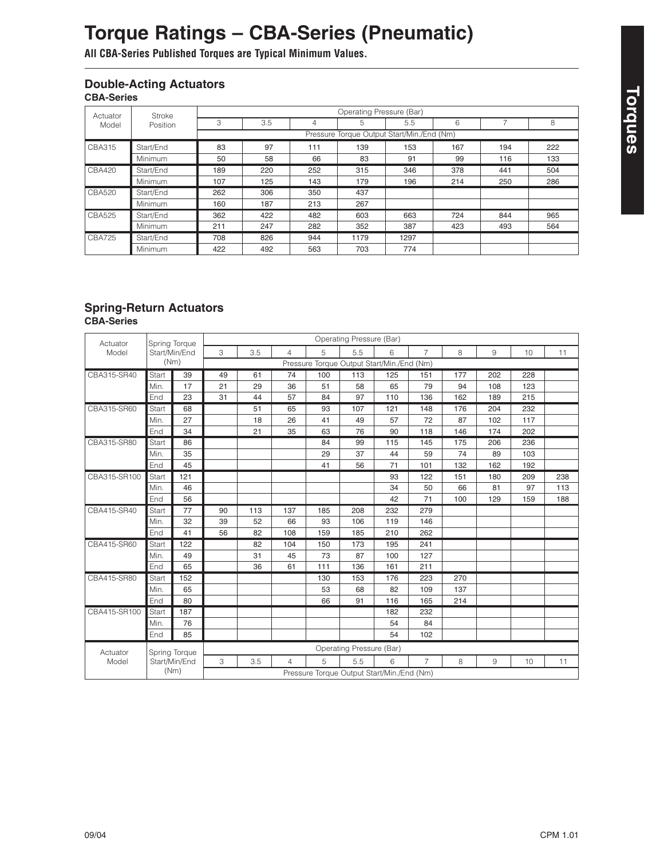# **Torques**

## **Torque Ratings – CBA-Series (Pneumatic)**

**All CBA-Series Published Torques are Typical Minimum Values.**

#### **Double-Acting Actuators CBA-Series**

| Actuator      | Stroke<br>Position | Operating Pressure (Bar)                   |     |     |      |      |     |     |     |  |  |  |
|---------------|--------------------|--------------------------------------------|-----|-----|------|------|-----|-----|-----|--|--|--|
| Model         |                    | 3                                          | 3.5 | 4   | 5    | 5.5  | 6   |     | 8   |  |  |  |
|               |                    | Pressure Torque Output Start/Min./End (Nm) |     |     |      |      |     |     |     |  |  |  |
| <b>CBA315</b> | Start/End          | 83                                         | 97  | 111 | 139  | 153  | 167 | 194 | 222 |  |  |  |
|               | <b>Minimum</b>     | 50                                         | 58  | 66  | 83   | 91   | 99  | 116 | 133 |  |  |  |
| <b>CBA420</b> | Start/End          | 189                                        | 220 | 252 | 315  | 346  | 378 | 441 | 504 |  |  |  |
|               | <b>Minimum</b>     | 107                                        | 125 | 143 | 179  | 196  | 214 | 250 | 286 |  |  |  |
| <b>CBA520</b> | Start/End          | 262                                        | 306 | 350 | 437  |      |     |     |     |  |  |  |
|               | <b>Minimum</b>     | 160                                        | 187 | 213 | 267  |      |     |     |     |  |  |  |
| <b>CBA525</b> | Start/End          | 362                                        | 422 | 482 | 603  | 663  | 724 | 844 | 965 |  |  |  |
|               | <b>Minimum</b>     | 211                                        | 247 | 282 | 352  | 387  | 423 | 493 | 564 |  |  |  |
| <b>CBA725</b> | Start/End          | 708                                        | 826 | 944 | 1179 | 1297 |     |     |     |  |  |  |
|               | Minimum            | 422                                        | 492 | 563 | 703  | 774  |     |     |     |  |  |  |

#### **Spring-Return Actuators CBA-Series**

| Actuator     | Spring Torque<br>Start/Min/End<br>(Nm) |     | Operating Pressure (Bar)                   |     |                |     |     |     |                |     |     |     |     |
|--------------|----------------------------------------|-----|--------------------------------------------|-----|----------------|-----|-----|-----|----------------|-----|-----|-----|-----|
| Model        |                                        |     | 3                                          | 3.5 | $\overline{4}$ | 5   | 5.5 | 6   | $\overline{7}$ | 8   | 9   | 10  | 11  |
|              |                                        |     | Pressure Torque Output Start/Min./End (Nm) |     |                |     |     |     |                |     |     |     |     |
| CBA315-SR40  | Start                                  | 39  | 49                                         | 61  | 74             | 100 | 113 | 125 | 151            | 177 | 202 | 228 |     |
|              | Min.                                   | 17  | 21                                         | 29  | 36             | 51  | 58  | 65  | 79             | 94  | 108 | 123 |     |
|              | End                                    | 23  | 31                                         | 44  | 57             | 84  | 97  | 110 | 136            | 162 | 189 | 215 |     |
| CBA315-SR60  | Start                                  | 68  |                                            | 51  | 65             | 93  | 107 | 121 | 148            | 176 | 204 | 232 |     |
|              | Min.                                   | 27  |                                            | 18  | 26             | 41  | 49  | 57  | 72             | 87  | 102 | 117 |     |
|              | End                                    | 34  |                                            | 21  | 35             | 63  | 76  | 90  | 118            | 146 | 174 | 202 |     |
| CBA315-SR80  | Start                                  | 86  |                                            |     |                | 84  | 99  | 115 | 145            | 175 | 206 | 236 |     |
|              | Min.                                   | 35  |                                            |     |                | 29  | 37  | 44  | 59             | 74  | 89  | 103 |     |
|              | End                                    | 45  |                                            |     |                | 41  | 56  | 71  | 101            | 132 | 162 | 192 |     |
| CBA315-SR100 | Start                                  | 121 |                                            |     |                |     |     | 93  | 122            | 151 | 180 | 209 | 238 |
|              | Min.                                   | 46  |                                            |     |                |     |     | 34  | 50             | 66  | 81  | 97  | 113 |
|              | End                                    | 56  |                                            |     |                |     |     | 42  | 71             | 100 | 129 | 159 | 188 |
| CBA415-SR40  | Start                                  | 77  | 90                                         | 113 | 137            | 185 | 208 | 232 | 279            |     |     |     |     |
|              | Min.                                   | 32  | 39                                         | 52  | 66             | 93  | 106 | 119 | 146            |     |     |     |     |
|              | End                                    | 41  | 56                                         | 82  | 108            | 159 | 185 | 210 | 262            |     |     |     |     |
| CBA415-SR60  | Start                                  | 122 |                                            | 82  | 104            | 150 | 173 | 195 | 241            |     |     |     |     |
|              | Min.                                   | 49  |                                            | 31  | 45             | 73  | 87  | 100 | 127            |     |     |     |     |
|              | End                                    | 65  |                                            | 36  | 61             | 111 | 136 | 161 | 211            |     |     |     |     |
| CBA415-SR80  | Start                                  | 152 |                                            |     |                | 130 | 153 | 176 | 223            | 270 |     |     |     |
|              | Min.                                   | 65  |                                            |     |                | 53  | 68  | 82  | 109            | 137 |     |     |     |
|              | End                                    | 80  |                                            |     |                | 66  | 91  | 116 | 165            | 214 |     |     |     |
| CBA415-SR100 | Start                                  | 187 |                                            |     |                |     |     | 182 | 232            |     |     |     |     |
|              | Min.                                   | 76  |                                            |     |                |     |     | 54  | 84             |     |     |     |     |
|              | End                                    | 85  |                                            |     |                |     |     | 54  | 102            |     |     |     |     |
| Actuator     | Spring Torque<br>Start/Min/End<br>(Nm) |     | Operating Pressure (Bar)                   |     |                |     |     |     |                |     |     |     |     |
| Model        |                                        |     | 3                                          | 3.5 | $\overline{4}$ | 5   | 5.5 | 6   | $\overline{7}$ | 8   | 9   | 10  | 11  |
|              |                                        |     | Pressure Torque Output Start/Min./End (Nm) |     |                |     |     |     |                |     |     |     |     |